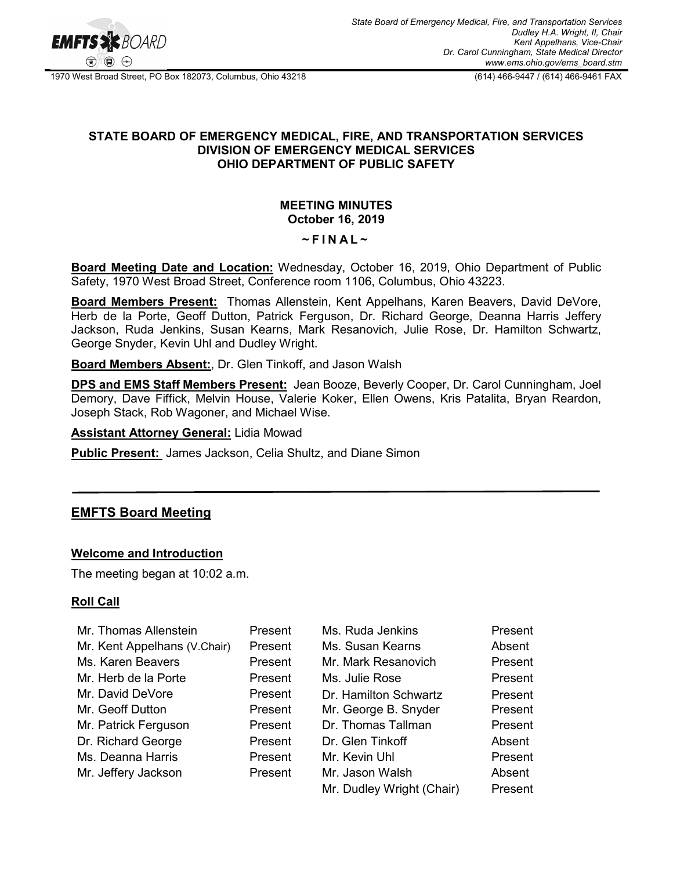

1970 West Broad Street, PO Box 182073, Columbus, Ohio 43218 (614) 466-9447 / (614) 466-9461 FAX

## **STATE BOARD OF EMERGENCY MEDICAL, FIRE, AND TRANSPORTATION SERVICES DIVISION OF EMERGENCY MEDICAL SERVICES OHIO DEPARTMENT OF PUBLIC SAFETY**

## **MEETING MINUTES October 16, 2019**

# **~ F INAL ~**

**Board Meeting Date and Location:** Wednesday, October 16, 2019, Ohio Department of Public Safety, 1970 West Broad Street, Conference room 1106, Columbus, Ohio 43223.

**Board Members Present:** Thomas Allenstein, Kent Appelhans, Karen Beavers, David DeVore, Herb de la Porte, Geoff Dutton, Patrick Ferguson, Dr. Richard George, Deanna Harris Jeffery Jackson, Ruda Jenkins, Susan Kearns, Mark Resanovich, Julie Rose, Dr. Hamilton Schwartz, George Snyder, Kevin Uhl and Dudley Wright.

#### **Board Members Absent:**, Dr. Glen Tinkoff, and Jason Walsh

**DPS and EMS Staff Members Present:** Jean Booze, Beverly Cooper, Dr. Carol Cunningham, Joel Demory, Dave Fiffick, Melvin House, Valerie Koker, Ellen Owens, Kris Patalita, Bryan Reardon, Joseph Stack, Rob Wagoner, and Michael Wise.

**Assistant Attorney General:** Lidia Mowad

**Public Present:** James Jackson, Celia Shultz, and Diane Simon

# **EMFTS Board Meeting**

## **Welcome and Introduction**

The meeting began at 10:02 a.m.

## **Roll Call**

| Mr. Thomas Allenstein        | Present | Ms. Ruda Jenkins          | Present |
|------------------------------|---------|---------------------------|---------|
| Mr. Kent Appelhans (V.Chair) | Present | Ms. Susan Kearns          | Absent  |
| Ms. Karen Beavers            | Present | Mr. Mark Resanovich       | Present |
| Mr. Herb de la Porte         | Present | Ms. Julie Rose            | Present |
| Mr. David DeVore             | Present | Dr. Hamilton Schwartz     | Present |
| Mr. Geoff Dutton             | Present | Mr. George B. Snyder      | Present |
| Mr. Patrick Ferguson         | Present | Dr. Thomas Tallman        | Present |
| Dr. Richard George           | Present | Dr. Glen Tinkoff          | Absent  |
| Ms. Deanna Harris            | Present | Mr. Kevin Uhl             | Present |
| Mr. Jeffery Jackson          | Present | Mr. Jason Walsh           | Absent  |
|                              |         | Mr. Dudley Wright (Chair) | Present |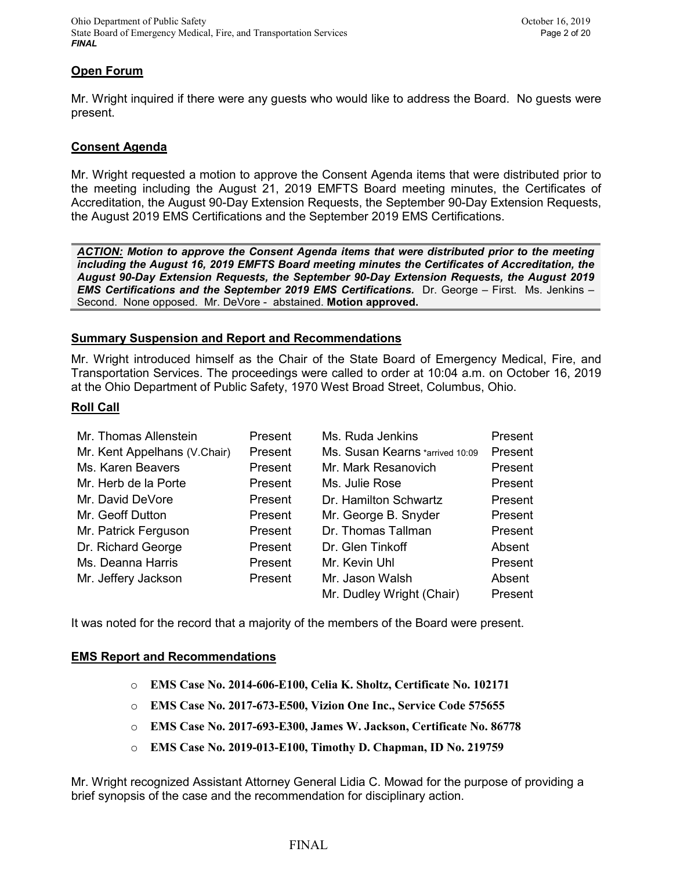## **Open Forum**

Mr. Wright inquired if there were any guests who would like to address the Board. No guests were present.

## **Consent Agenda**

Mr. Wright requested a motion to approve the Consent Agenda items that were distributed prior to the meeting including the August 21, 2019 EMFTS Board meeting minutes, the Certificates of Accreditation, the August 90-Day Extension Requests, the September 90-Day Extension Requests, the August 2019 EMS Certifications and the September 2019 EMS Certifications.

*ACTION: Motion to approve the Consent Agenda items that were distributed prior to the meeting including the August 16, 2019 EMFTS Board meeting minutes the Certificates of Accreditation, the August 90-Day Extension Requests, the September 90-Day Extension Requests, the August 2019 EMS Certifications and the September 2019 EMS Certifications.* Dr. George – First. Ms. Jenkins – Second. None opposed. Mr. DeVore - abstained. **Motion approved.**

## **Summary Suspension and Report and Recommendations**

Mr. Wright introduced himself as the Chair of the State Board of Emergency Medical, Fire, and Transportation Services. The proceedings were called to order at 10:04 a.m. on October 16, 2019 at the Ohio Department of Public Safety, 1970 West Broad Street, Columbus, Ohio.

#### **Roll Call**

| Mr. Thomas Allenstein        | Present | Ms. Ruda Jenkins                | Present |
|------------------------------|---------|---------------------------------|---------|
| Mr. Kent Appelhans (V.Chair) | Present | Ms. Susan Kearns *arrived 10:09 | Present |
| Ms. Karen Beavers            | Present | Mr. Mark Resanovich             | Present |
| Mr. Herb de la Porte         | Present | Ms. Julie Rose                  | Present |
| Mr. David DeVore             | Present | Dr. Hamilton Schwartz           | Present |
| Mr. Geoff Dutton             | Present | Mr. George B. Snyder            | Present |
| Mr. Patrick Ferguson         | Present | Dr. Thomas Tallman              | Present |
| Dr. Richard George           | Present | Dr. Glen Tinkoff                | Absent  |
| Ms. Deanna Harris            | Present | Mr. Kevin Uhl                   | Present |
| Mr. Jeffery Jackson          | Present | Mr. Jason Walsh                 | Absent  |
|                              |         | Mr. Dudley Wright (Chair)       | Present |

It was noted for the record that a majority of the members of the Board were present.

## **EMS Report and Recommendations**

- o **EMS Case No. 2014-606-E100, Celia K. Sholtz, Certificate No. 102171**
- o **EMS Case No. 2017-673-E500, Vizion One Inc., Service Code 575655**
- o **EMS Case No. 2017-693-E300, James W. Jackson, Certificate No. 86778**
- o **EMS Case No. 2019-013-E100, Timothy D. Chapman, ID No. 219759**

Mr. Wright recognized Assistant Attorney General Lidia C. Mowad for the purpose of providing a brief synopsis of the case and the recommendation for disciplinary action.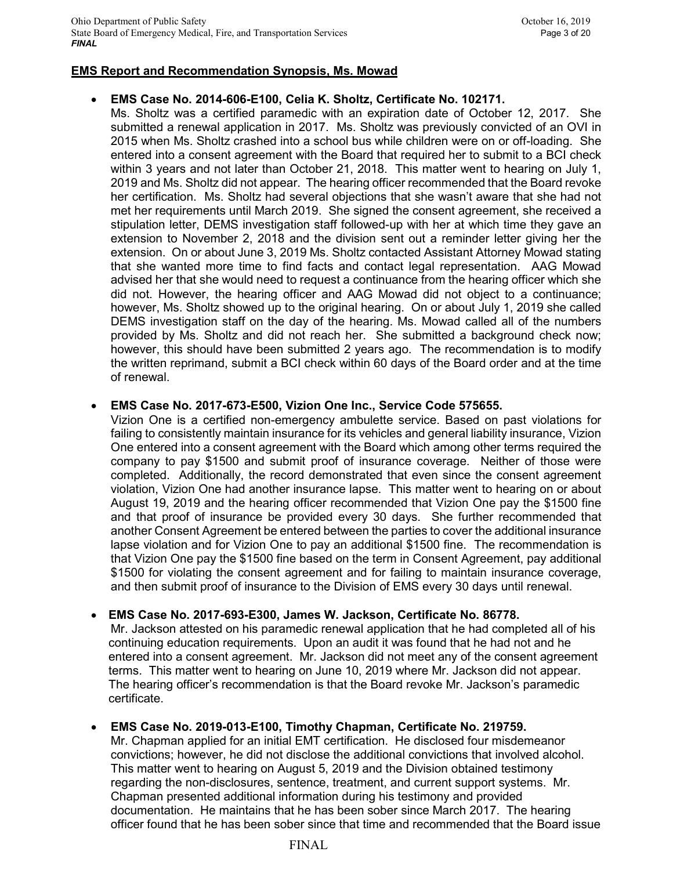## **EMS Report and Recommendation Synopsis, Ms. Mowad**

# • **EMS Case No. 2014-606-E100, Celia K. Sholtz, Certificate No. 102171.**

Ms. Sholtz was a certified paramedic with an expiration date of October 12, 2017. She submitted a renewal application in 2017. Ms. Sholtz was previously convicted of an OVI in 2015 when Ms. Sholtz crashed into a school bus while children were on or off-loading. She entered into a consent agreement with the Board that required her to submit to a BCI check within 3 years and not later than October 21, 2018. This matter went to hearing on July 1, 2019 and Ms. Sholtz did not appear. The hearing officer recommended that the Board revoke her certification. Ms. Sholtz had several objections that she wasn't aware that she had not met her requirements until March 2019. She signed the consent agreement, she received a stipulation letter, DEMS investigation staff followed-up with her at which time they gave an extension to November 2, 2018 and the division sent out a reminder letter giving her the extension. On or about June 3, 2019 Ms. Sholtz contacted Assistant Attorney Mowad stating that she wanted more time to find facts and contact legal representation. AAG Mowad advised her that she would need to request a continuance from the hearing officer which she did not. However, the hearing officer and AAG Mowad did not object to a continuance; however, Ms. Sholtz showed up to the original hearing. On or about July 1, 2019 she called DEMS investigation staff on the day of the hearing. Ms. Mowad called all of the numbers provided by Ms. Sholtz and did not reach her. She submitted a background check now; however, this should have been submitted 2 years ago. The recommendation is to modify the written reprimand, submit a BCI check within 60 days of the Board order and at the time of renewal.

## • **EMS Case No. 2017-673-E500, Vizion One Inc., Service Code 575655.**

Vizion One is a certified non-emergency ambulette service. Based on past violations for failing to consistently maintain insurance for its vehicles and general liability insurance, Vizion One entered into a consent agreement with the Board which among other terms required the company to pay \$1500 and submit proof of insurance coverage. Neither of those were completed. Additionally, the record demonstrated that even since the consent agreement violation, Vizion One had another insurance lapse. This matter went to hearing on or about August 19, 2019 and the hearing officer recommended that Vizion One pay the \$1500 fine and that proof of insurance be provided every 30 days. She further recommended that another Consent Agreement be entered between the parties to cover the additional insurance lapse violation and for Vizion One to pay an additional \$1500 fine. The recommendation is that Vizion One pay the \$1500 fine based on the term in Consent Agreement, pay additional \$1500 for violating the consent agreement and for failing to maintain insurance coverage, and then submit proof of insurance to the Division of EMS every 30 days until renewal.

# • **EMS Case No. 2017-693-E300, James W. Jackson, Certificate No. 86778.**

Mr. Jackson attested on his paramedic renewal application that he had completed all of his continuing education requirements. Upon an audit it was found that he had not and he entered into a consent agreement. Mr. Jackson did not meet any of the consent agreement terms. This matter went to hearing on June 10, 2019 where Mr. Jackson did not appear. The hearing officer's recommendation is that the Board revoke Mr. Jackson's paramedic certificate.

# • **EMS Case No. 2019-013-E100, Timothy Chapman, Certificate No. 219759.**

Mr. Chapman applied for an initial EMT certification. He disclosed four misdemeanor convictions; however, he did not disclose the additional convictions that involved alcohol. This matter went to hearing on August 5, 2019 and the Division obtained testimony regarding the non-disclosures, sentence, treatment, and current support systems. Mr. Chapman presented additional information during his testimony and provided documentation. He maintains that he has been sober since March 2017. The hearing officer found that he has been sober since that time and recommended that the Board issue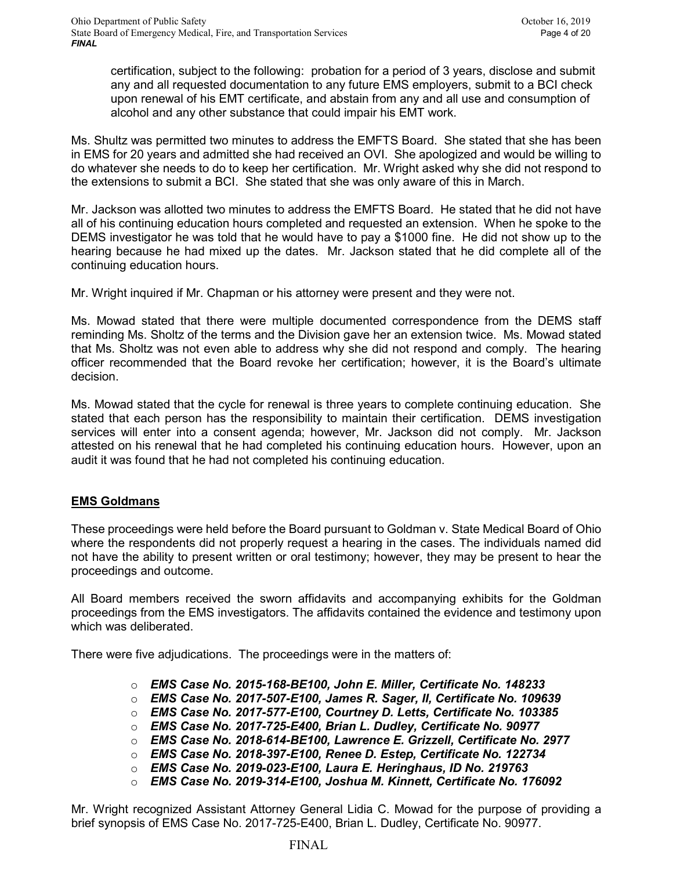certification, subject to the following: probation for a period of 3 years, disclose and submit any and all requested documentation to any future EMS employers, submit to a BCI check upon renewal of his EMT certificate, and abstain from any and all use and consumption of alcohol and any other substance that could impair his EMT work.

Ms. Shultz was permitted two minutes to address the EMFTS Board. She stated that she has been in EMS for 20 years and admitted she had received an OVI. She apologized and would be willing to do whatever she needs to do to keep her certification. Mr. Wright asked why she did not respond to the extensions to submit a BCI. She stated that she was only aware of this in March.

Mr. Jackson was allotted two minutes to address the EMFTS Board. He stated that he did not have all of his continuing education hours completed and requested an extension. When he spoke to the DEMS investigator he was told that he would have to pay a \$1000 fine. He did not show up to the hearing because he had mixed up the dates. Mr. Jackson stated that he did complete all of the continuing education hours.

Mr. Wright inquired if Mr. Chapman or his attorney were present and they were not.

Ms. Mowad stated that there were multiple documented correspondence from the DEMS staff reminding Ms. Sholtz of the terms and the Division gave her an extension twice. Ms. Mowad stated that Ms. Sholtz was not even able to address why she did not respond and comply. The hearing officer recommended that the Board revoke her certification; however, it is the Board's ultimate decision.

Ms. Mowad stated that the cycle for renewal is three years to complete continuing education. She stated that each person has the responsibility to maintain their certification. DEMS investigation services will enter into a consent agenda; however, Mr. Jackson did not comply. Mr. Jackson attested on his renewal that he had completed his continuing education hours. However, upon an audit it was found that he had not completed his continuing education.

# **EMS Goldmans**

These proceedings were held before the Board pursuant to Goldman v. State Medical Board of Ohio where the respondents did not properly request a hearing in the cases. The individuals named did not have the ability to present written or oral testimony; however, they may be present to hear the proceedings and outcome.

All Board members received the sworn affidavits and accompanying exhibits for the Goldman proceedings from the EMS investigators. The affidavits contained the evidence and testimony upon which was deliberated.

There were five adjudications. The proceedings were in the matters of:

- o *EMS Case No. 2015-168-BE100, John E. Miller, Certificate No. 148233*
- o *EMS Case No. 2017-507-E100, James R. Sager, II, Certificate No. 109639*
- o *EMS Case No. 2017-577-E100, Courtney D. Letts, Certificate No. 103385*
- o *EMS Case No. 2017-725-E400, Brian L. Dudley, Certificate No. 90977*
- o *EMS Case No. 2018-614-BE100, Lawrence E. Grizzell, Certificate No. 2977*
- o *EMS Case No. 2018-397-E100, Renee D. Estep, Certificate No. 122734*
- o *EMS Case No. 2019-023-E100, Laura E. Heringhaus, ID No. 219763*
- o *EMS Case No. 2019-314-E100, Joshua M. Kinnett, Certificate No. 176092*

Mr. Wright recognized Assistant Attorney General Lidia C. Mowad for the purpose of providing a brief synopsis of EMS Case No. 2017-725-E400, Brian L. Dudley, Certificate No. 90977.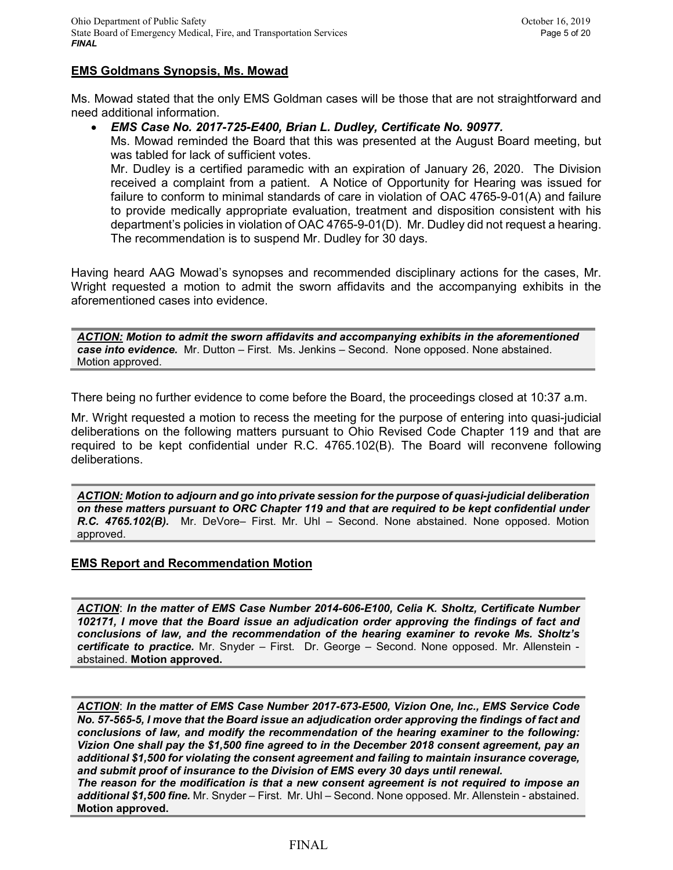# **EMS Goldmans Synopsis, Ms. Mowad**

Ms. Mowad stated that the only EMS Goldman cases will be those that are not straightforward and need additional information.

#### • *EMS Case No. 2017-725-E400, Brian L. Dudley, Certificate No. 90977.*

Ms. Mowad reminded the Board that this was presented at the August Board meeting, but was tabled for lack of sufficient votes.

Mr. Dudley is a certified paramedic with an expiration of January 26, 2020. The Division received a complaint from a patient. A Notice of Opportunity for Hearing was issued for failure to conform to minimal standards of care in violation of OAC 4765-9-01(A) and failure to provide medically appropriate evaluation, treatment and disposition consistent with his department's policies in violation of OAC 4765-9-01(D). Mr. Dudley did not request a hearing. The recommendation is to suspend Mr. Dudley for 30 days.

Having heard AAG Mowad's synopses and recommended disciplinary actions for the cases, Mr. Wright requested a motion to admit the sworn affidavits and the accompanying exhibits in the aforementioned cases into evidence.

*ACTION: Motion to admit the sworn affidavits and accompanying exhibits in the aforementioned case into evidence.* Mr. Dutton – First. Ms. Jenkins – Second. None opposed. None abstained. Motion approved.

There being no further evidence to come before the Board, the proceedings closed at 10:37 a.m.

Mr. Wright requested a motion to recess the meeting for the purpose of entering into quasi-judicial deliberations on the following matters pursuant to Ohio Revised Code Chapter 119 and that are required to be kept confidential under R.C. 4765.102(B). The Board will reconvene following deliberations.

*ACTION: Motion to adjourn and go into private session for the purpose of quasi-judicial deliberation on these matters pursuant to ORC Chapter 119 and that are required to be kept confidential under R.C. 4765.102(B).* Mr. DeVore– First. Mr. Uhl – Second. None abstained. None opposed. Motion approved.

## **EMS Report and Recommendation Motion**

*ACTION*: *In the matter of EMS Case Number 2014-606-E100, Celia K. Sholtz, Certificate Number 102171, I move that the Board issue an adjudication order approving the findings of fact and conclusions of law, and the recommendation of the hearing examiner to revoke Ms. Sholtz's certificate to practice.* Mr. Snyder – First. Dr. George – Second. None opposed. Mr. Allenstein abstained. **Motion approved.**

*ACTION*: *In the matter of EMS Case Number 2017-673-E500, Vizion One, Inc., EMS Service Code No. 57-565-5, I move that the Board issue an adjudication order approving the findings of fact and conclusions of law, and modify the recommendation of the hearing examiner to the following: Vizion One shall pay the \$1,500 fine agreed to in the December 2018 consent agreement, pay an additional \$1,500 for violating the consent agreement and failing to maintain insurance coverage, and submit proof of insurance to the Division of EMS every 30 days until renewal.* 

*The reason for the modification is that a new consent agreement is not required to impose an additional \$1,500 fine.* Mr. Snyder – First. Mr. Uhl – Second. None opposed. Mr. Allenstein - abstained. **Motion approved.**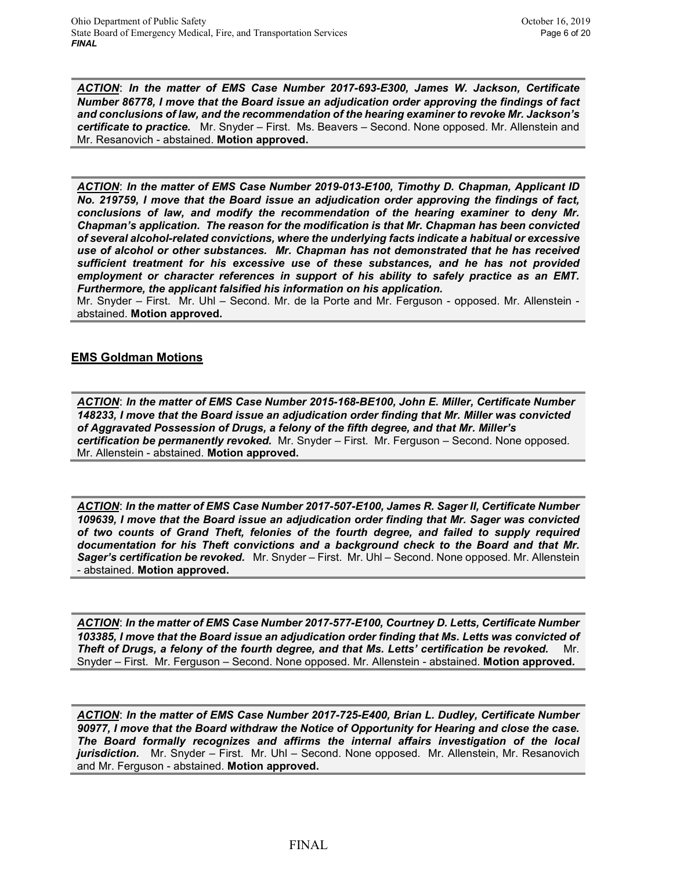*ACTION*: *In the matter of EMS Case Number 2017-693-E300, James W. Jackson, Certificate Number 86778, I move that the Board issue an adjudication order approving the findings of fact and conclusions of law, and the recommendation of the hearing examiner to revoke Mr. Jackson's certificate to practice.* Mr. Snyder – First. Ms. Beavers – Second. None opposed. Mr. Allenstein and Mr. Resanovich - abstained. **Motion approved.**

*ACTION*: *In the matter of EMS Case Number 2019-013-E100, Timothy D. Chapman, Applicant ID No. 219759, I move that the Board issue an adjudication order approving the findings of fact, conclusions of law, and modify the recommendation of the hearing examiner to deny Mr. Chapman's application. The reason for the modification is that Mr. Chapman has been convicted of several alcohol-related convictions, where the underlying facts indicate a habitual or excessive use of alcohol or other substances. Mr. Chapman has not demonstrated that he has received sufficient treatment for his excessive use of these substances, and he has not provided employment or character references in support of his ability to safely practice as an EMT. Furthermore, the applicant falsified his information on his application.*

Mr. Snyder – First. Mr. Uhl – Second. Mr. de la Porte and Mr. Ferguson - opposed. Mr. Allenstein abstained. **Motion approved.**

## **EMS Goldman Motions**

*ACTION*: *In the matter of EMS Case Number 2015-168-BE100, John E. Miller, Certificate Number 148233, I move that the Board issue an adjudication order finding that Mr. Miller was convicted of Aggravated Possession of Drugs, a felony of the fifth degree, and that Mr. Miller's certification be permanently revoked.* Mr. Snyder – First. Mr. Ferguson – Second. None opposed. Mr. Allenstein - abstained. **Motion approved.**

*ACTION*: *In the matter of EMS Case Number 2017-507-E100, James R. Sager II, Certificate Number 109639, I move that the Board issue an adjudication order finding that Mr. Sager was convicted of two counts of Grand Theft, felonies of the fourth degree, and failed to supply required documentation for his Theft convictions and a background check to the Board and that Mr. Sager's certification be revoked.* Mr. Snyder – First. Mr. Uhl – Second. None opposed. Mr. Allenstein - abstained. **Motion approved.**

*ACTION*: *In the matter of EMS Case Number 2017-577-E100, Courtney D. Letts, Certificate Number 103385, I move that the Board issue an adjudication order finding that Ms. Letts was convicted of Theft of Drugs, a felony of the fourth degree, and that Ms. Letts' certification be revoked.* Mr. Snyder – First. Mr. Ferguson – Second. None opposed. Mr. Allenstein - abstained. **Motion approved.**

*ACTION*: *In the matter of EMS Case Number 2017-725-E400, Brian L. Dudley, Certificate Number 90977, I move that the Board withdraw the Notice of Opportunity for Hearing and close the case. The Board formally recognizes and affirms the internal affairs investigation of the local jurisdiction.* Mr. Snyder – First. Mr. Uhl – Second. None opposed. Mr. Allenstein, Mr. Resanovich and Mr. Ferguson - abstained. **Motion approved.**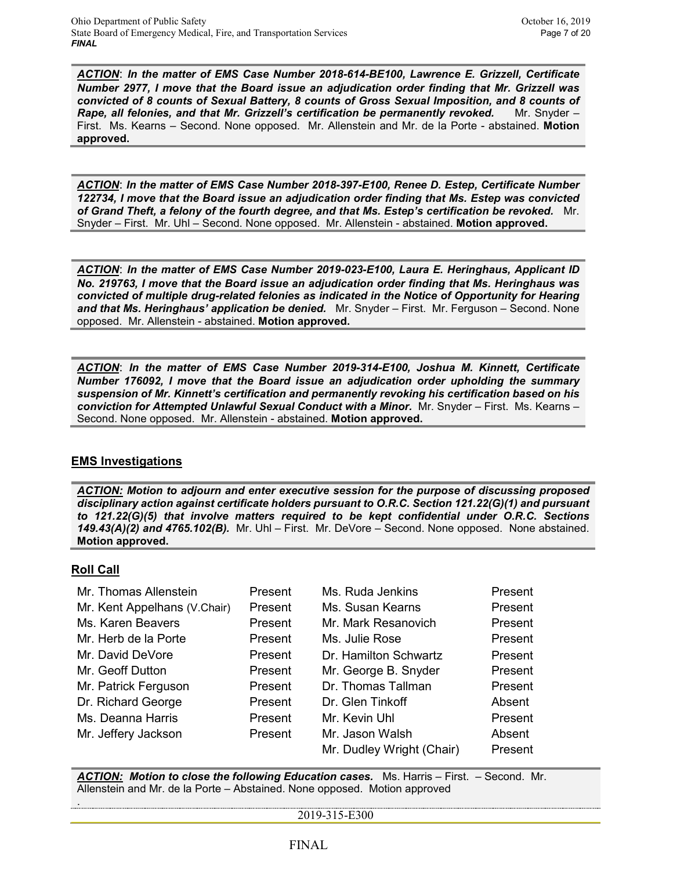*ACTION*: *In the matter of EMS Case Number 2018-614-BE100, Lawrence E. Grizzell, Certificate Number 2977, I move that the Board issue an adjudication order finding that Mr. Grizzell was convicted of 8 counts of Sexual Battery, 8 counts of Gross Sexual Imposition, and 8 counts of*  **Rape, all felonies, and that Mr. Grizzell's certification be permanently revoked.** Mr. Snyder – First. Ms. Kearns – Second. None opposed. Mr. Allenstein and Mr. de la Porte - abstained. **Motion approved.**

*ACTION*: *In the matter of EMS Case Number 2018-397-E100, Renee D. Estep, Certificate Number 122734, I move that the Board issue an adjudication order finding that Ms. Estep was convicted of Grand Theft, a felony of the fourth degree, and that Ms. Estep's certification be revoked.* Mr. Snyder – First. Mr. Uhl – Second. None opposed. Mr. Allenstein - abstained. **Motion approved.**

*ACTION*: *In the matter of EMS Case Number 2019-023-E100, Laura E. Heringhaus, Applicant ID No. 219763, I move that the Board issue an adjudication order finding that Ms. Heringhaus was convicted of multiple drug-related felonies as indicated in the Notice of Opportunity for Hearing and that Ms. Heringhaus' application be denied.* Mr. Snyder – First. Mr. Ferguson – Second. None opposed. Mr. Allenstein - abstained. **Motion approved.**

*ACTION*: *In the matter of EMS Case Number 2019-314-E100, Joshua M. Kinnett, Certificate Number 176092, I move that the Board issue an adjudication order upholding the summary suspension of Mr. Kinnett's certification and permanently revoking his certification based on his conviction for Attempted Unlawful Sexual Conduct with a Minor.* Mr. Snyder – First. Ms. Kearns – Second. None opposed. Mr. Allenstein - abstained. **Motion approved.**

## **EMS Investigations**

*ACTION: Motion to adjourn and enter executive session for the purpose of discussing proposed disciplinary action against certificate holders pursuant to O.R.C. Section 121.22(G)(1) and pursuant to 121.22(G)(5) that involve matters required to be kept confidential under O.R.C. Sections 149.43(A)(2) and 4765.102(B).* Mr. Uhl – First. Mr. DeVore – Second. None opposed. None abstained. **Motion approved.**

## **Roll Call**

.

| Mr. Thomas Allenstein        | Present | Ms. Ruda Jenkins          | Present |
|------------------------------|---------|---------------------------|---------|
| Mr. Kent Appelhans (V.Chair) | Present | Ms. Susan Kearns          | Present |
| Ms. Karen Beavers            | Present | Mr. Mark Resanovich       | Present |
| Mr. Herb de la Porte         | Present | Ms. Julie Rose            | Present |
| Mr. David DeVore             | Present | Dr. Hamilton Schwartz     | Present |
| Mr. Geoff Dutton             | Present | Mr. George B. Snyder      | Present |
| Mr. Patrick Ferguson         | Present | Dr. Thomas Tallman        | Present |
| Dr. Richard George           | Present | Dr. Glen Tinkoff          | Absent  |
| Ms. Deanna Harris            | Present | Mr. Kevin Uhl             | Present |
| Mr. Jeffery Jackson          | Present | Mr. Jason Walsh           | Absent  |
|                              |         | Mr. Dudley Wright (Chair) | Present |

*ACTION: Motion to close the following Education cases.* Ms. Harris – First. – Second. Mr. Allenstein and Mr. de la Porte – Abstained. None opposed. Motion approved

2019-315-E300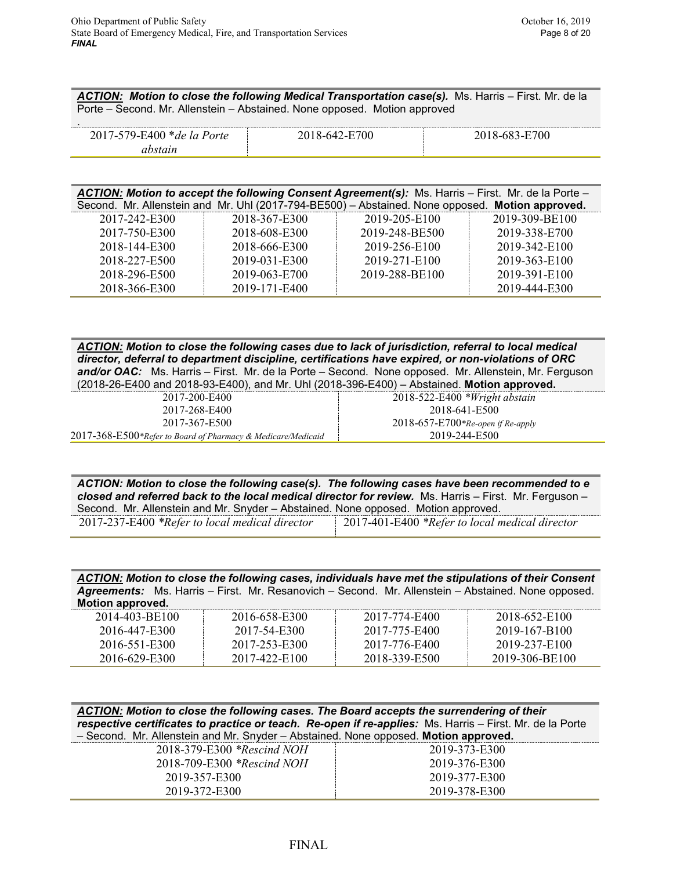*ACTION: Motion to close the following Medical Transportation case(s).* Ms. Harris – First. Mr. de la Porte – Second. Mr. Allenstein – Abstained. None opposed. Motion approved

| $\blacksquare$                                                              |                          |          |
|-----------------------------------------------------------------------------|--------------------------|----------|
| :400<br>$\alpha$<br>$P_{\Delta}$<br>*de<br>79-P<br>$\overline{\phantom{0}}$ | 700<br>$\mathbf{X}$ -64. | 'UG<br>^ |
|                                                                             |                          |          |

|               |               | ACTION: Motion to accept the following Consent Agreement(s): Ms. Harris - First. Mr. de la Porte - |                |
|---------------|---------------|----------------------------------------------------------------------------------------------------|----------------|
|               |               | Second. Mr. Allenstein and Mr. Uhl (2017-794-BE500) - Abstained. None opposed. Motion approved.    |                |
| 2017-242-E300 | 2018-367-E300 | 2019-205-E100                                                                                      | 2019-309-BE100 |

| 2017-750-E300 | 2018-608-E300 | 2019-248-BE500 | 2019-338-E700 |
|---------------|---------------|----------------|---------------|
| 2018-144-E300 | 2018-666-E300 | 2019-256-E100  | 2019-342-E100 |
| 2018-227-E500 | 2019-031-E300 | 2019-271-E100  | 2019-363-E100 |
| 2018-296-E500 | 2019-063-E700 | 2019-288-BE100 | 2019-391-E100 |
| 2018-366-E300 | 2019-171-E400 |                | 2019-444-E300 |

*ACTION: Motion to close the following cases due to lack of jurisdiction, referral to local medical director, deferral to department discipline, certifications have expired, or non-violations of ORC and/or OAC:* Ms. Harris – First. Mr. de la Porte – Second. None opposed. Mr. Allenstein, Mr. Ferguson (2018-26-E400 and 2018-93-E400), and Mr. Uhl (2018-396-E400) – Abstained. **Motion approved.**

| 2017-200-E400                                                | $2018 - 522 - E400$ * <i>Wright abstain</i> |
|--------------------------------------------------------------|---------------------------------------------|
| 2017-268-E400                                                | 2018-641-E500                               |
| 2017-367-E500                                                | $2018-657-E700*Re-open$ if Re-apply         |
| 2017-368-E500*Refer to Board of Pharmacy & Medicare/Medicaid | 2019-244-E500                               |

*ACTION: Motion to close the following case(s). The following cases have been recommended to e closed and referred back to the local medical director for review.* Ms. Harris – First. Mr. Ferguson – Second. Mr. Allenstein and Mr. Snyder – Abstained. None opposed. Motion approved.

| 2017-237-E400 *Refer to local medical direct |  |  |  |  |
|----------------------------------------------|--|--|--|--|
|----------------------------------------------|--|--|--|--|

2017-237-E400 *\*Refer to local medical director* 2017-401-E400 *\*Refer to local medical director*

*ACTION: Motion to close the following cases, individuals have met the stipulations of their Consent Agreements:* Ms. Harris – First. Mr. Resanovich – Second. Mr. Allenstein – Abstained. None opposed. **Motion approved.**

| 2014-403-BE100 | 2016-658-E300 | 2017-774-E400 | 2018-652-E100  |
|----------------|---------------|---------------|----------------|
| 2016-447-E300  | 2017-54-E300  | 2017-775-E400 | 2019-167-B100  |
| 2016-551-E300  | 2017-253-E300 | 2017-776-E400 | 2019-237-E100  |
| 2016-629-E300  | 2017-422-E100 | 2018-339-E500 | 2019-306-BE100 |

| ACTION: Motion to close the following cases. The Board accepts the surrendering of their                 |  |  |  |
|----------------------------------------------------------------------------------------------------------|--|--|--|
| respective certificates to practice or teach. Re-open if re-applies: Ms. Harris – First. Mr. de la Porte |  |  |  |
| - Second. Mr. Allenstein and Mr. Snyder - Abstained. None opposed. Motion approved.                      |  |  |  |

| <u>booding.</u> This monotonically mission of protectives. Hono oppocod: <b>invertion application</b> |               |
|-------------------------------------------------------------------------------------------------------|---------------|
| 2018-379-E300 *Rescind NOH                                                                            | 2019-373-E300 |
| 2018-709-E300 *Rescind NOH                                                                            | 2019-376-E300 |
| 2019-357-E300                                                                                         | 2019-377-E300 |
| 2019-372-E300                                                                                         | 2019-378-E300 |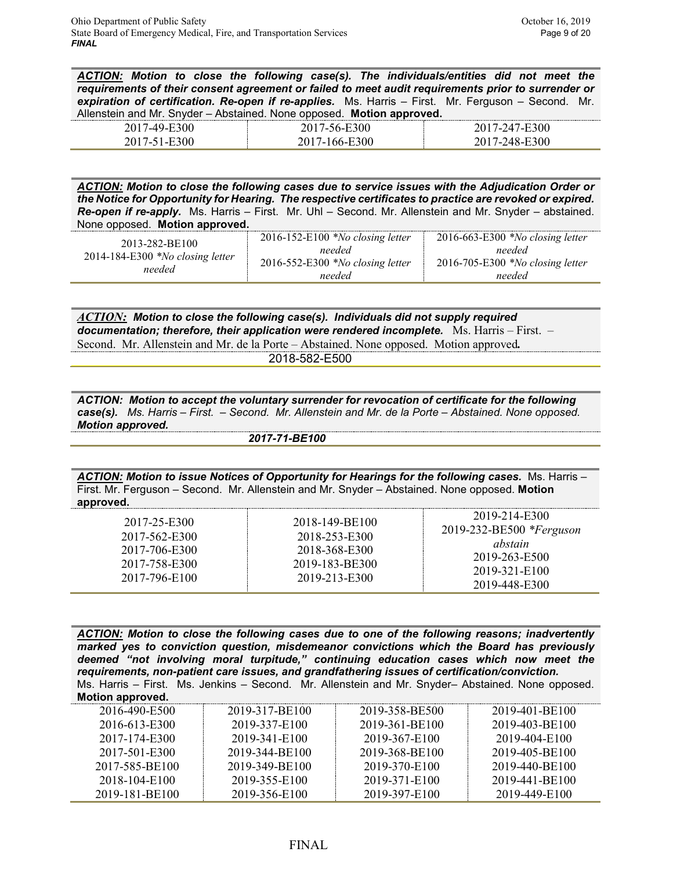*ACTION: Motion to close the following case(s). The individuals/entities did not meet the requirements of their consent agreement or failed to meet audit requirements prior to surrender or expiration of certification. Re-open if re-applies.* Ms. Harris – First. Mr. Ferguson – Second. Mr. Allenstein and Mr. Snyder – Abstained. None opposed. **Motion approved.**

|        |           | ___            |
|--------|-----------|----------------|
| .<br>⊷ | OU.<br>-- | vv<br>- -<br>- |
|        |           | ,,,<br>$-$     |

*ACTION: Motion to close the following cases due to service issues with the Adjudication Order or the Notice for Opportunity for Hearing. The respective certificates to practice are revoked or expired. Re-open if re-apply.* Ms. Harris – First. Mr. Uhl – Second. Mr. Allenstein and Mr. Snyder – abstained. None opposed. **Motion approved.**

| 2013-282-BE100<br>$2014-184-E300$ *No closing letter<br>needed | 2016-152-E100 *No closing letter<br>needed<br>2016-552-E300 *No closing letter | $2016-663-E300$ *No closing letter<br>needed<br>$2016 - 705 - E300$ *No closing letter |
|----------------------------------------------------------------|--------------------------------------------------------------------------------|----------------------------------------------------------------------------------------|
|                                                                | needed                                                                         | needed                                                                                 |

*ACTION: Motion to close the following case(s). Individuals did not supply required documentation; therefore, their application were rendered incomplete.* Ms. Harris – First. – Second. Mr. Allenstein and Mr. de la Porte – Abstained. None opposed. Motion approved*.*

2018-582-E500

*ACTION: Motion to accept the voluntary surrender for revocation of certificate for the following case(s). Ms. Harris – First. – Second. Mr. Allenstein and Mr. de la Porte – Abstained. None opposed. Motion approved.*

 *2017-71-BE100*

*ACTION: Motion to issue Notices of Opportunity for Hearings for the following cases.* Ms. Harris – First. Mr. Ferguson – Second. Mr. Allenstein and Mr. Snyder – Abstained. None opposed. **Motion approved.**

*ACTION: Motion to close the following cases due to one of the following reasons; inadvertently marked yes to conviction question, misdemeanor convictions which the Board has previously deemed "not involving moral turpitude," continuing education cases which now meet the requirements, non-patient care issues, and grandfathering issues of certification/conviction.* Ms. Harris – First. Ms. Jenkins – Second. Mr. Allenstein and Mr. Snyder– Abstained. None opposed. **Motion approved.**

| <b>MOLION approved.</b> |                |                |                |
|-------------------------|----------------|----------------|----------------|
| 2016-490-E500           | 2019-317-BE100 | 2019-358-BE500 | 2019-401-BE100 |
| 2016-613-E300           | 2019-337-E100  | 2019-361-BE100 | 2019-403-BE100 |
| 2017-174-E300           | 2019-341-E100  | 2019-367-E100  | 2019-404-E100  |
| 2017-501-E300           | 2019-344-BE100 | 2019-368-BE100 | 2019-405-BE100 |
| 2017-585-BE100          | 2019-349-BE100 | 2019-370-E100  | 2019-440-BE100 |
| 2018-104-E100           | 2019-355-E100  | 2019-371-E100  | 2019-441-BE100 |
| 2019-181-BE100          | 2019-356-E100  | 2019-397-E100  | 2019-449-E100  |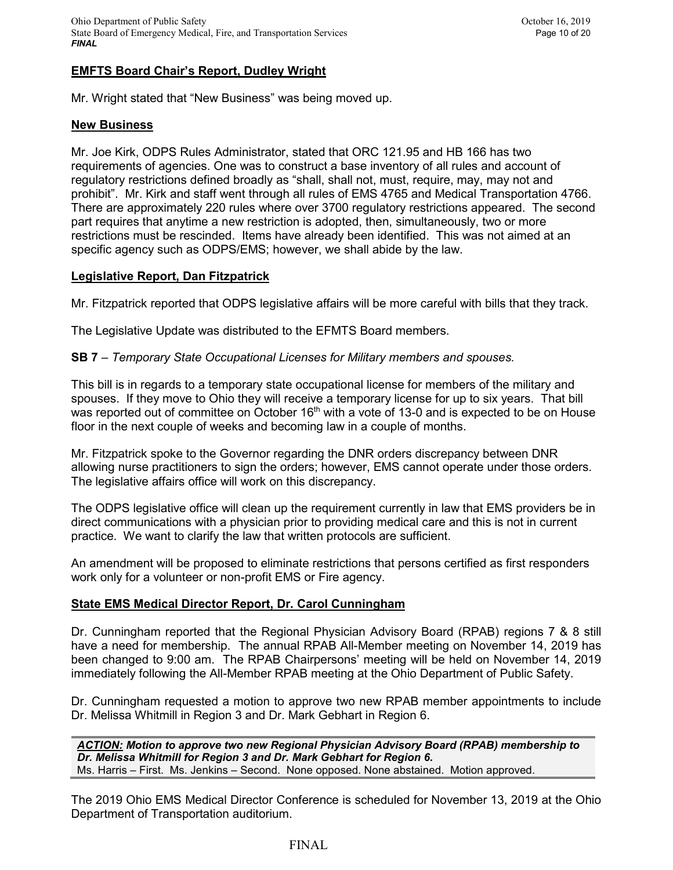## **EMFTS Board Chair's Report, Dudley Wright**

Mr. Wright stated that "New Business" was being moved up.

#### **New Business**

Mr. Joe Kirk, ODPS Rules Administrator, stated that ORC 121.95 and HB 166 has two requirements of agencies. One was to construct a base inventory of all rules and account of regulatory restrictions defined broadly as "shall, shall not, must, require, may, may not and prohibit". Mr. Kirk and staff went through all rules of EMS 4765 and Medical Transportation 4766. There are approximately 220 rules where over 3700 regulatory restrictions appeared. The second part requires that anytime a new restriction is adopted, then, simultaneously, two or more restrictions must be rescinded. Items have already been identified. This was not aimed at an specific agency such as ODPS/EMS; however, we shall abide by the law.

## **Legislative Report, Dan Fitzpatrick**

Mr. Fitzpatrick reported that ODPS legislative affairs will be more careful with bills that they track.

The Legislative Update was distributed to the EFMTS Board members.

#### **SB 7** – *Temporary State Occupational Licenses for Military members and spouses.*

This bill is in regards to a temporary state occupational license for members of the military and spouses. If they move to Ohio they will receive a temporary license for up to six years. That bill was reported out of committee on October  $16<sup>th</sup>$  with a vote of 13-0 and is expected to be on House floor in the next couple of weeks and becoming law in a couple of months.

Mr. Fitzpatrick spoke to the Governor regarding the DNR orders discrepancy between DNR allowing nurse practitioners to sign the orders; however, EMS cannot operate under those orders. The legislative affairs office will work on this discrepancy.

The ODPS legislative office will clean up the requirement currently in law that EMS providers be in direct communications with a physician prior to providing medical care and this is not in current practice. We want to clarify the law that written protocols are sufficient.

An amendment will be proposed to eliminate restrictions that persons certified as first responders work only for a volunteer or non-profit EMS or Fire agency.

## **State EMS Medical Director Report, Dr. Carol Cunningham**

Dr. Cunningham reported that the Regional Physician Advisory Board (RPAB) regions 7 & 8 still have a need for membership. The annual RPAB All-Member meeting on November 14, 2019 has been changed to 9:00 am. The RPAB Chairpersons' meeting will be held on November 14, 2019 immediately following the All-Member RPAB meeting at the Ohio Department of Public Safety.

Dr. Cunningham requested a motion to approve two new RPAB member appointments to include Dr. Melissa Whitmill in Region 3 and Dr. Mark Gebhart in Region 6.

*ACTION: Motion to approve two new Regional Physician Advisory Board (RPAB) membership to Dr. Melissa Whitmill for Region 3 and Dr. Mark Gebhart for Region 6.* Ms. Harris – First. Ms. Jenkins – Second. None opposed. None abstained. Motion approved.

The 2019 Ohio EMS Medical Director Conference is scheduled for November 13, 2019 at the Ohio Department of Transportation auditorium.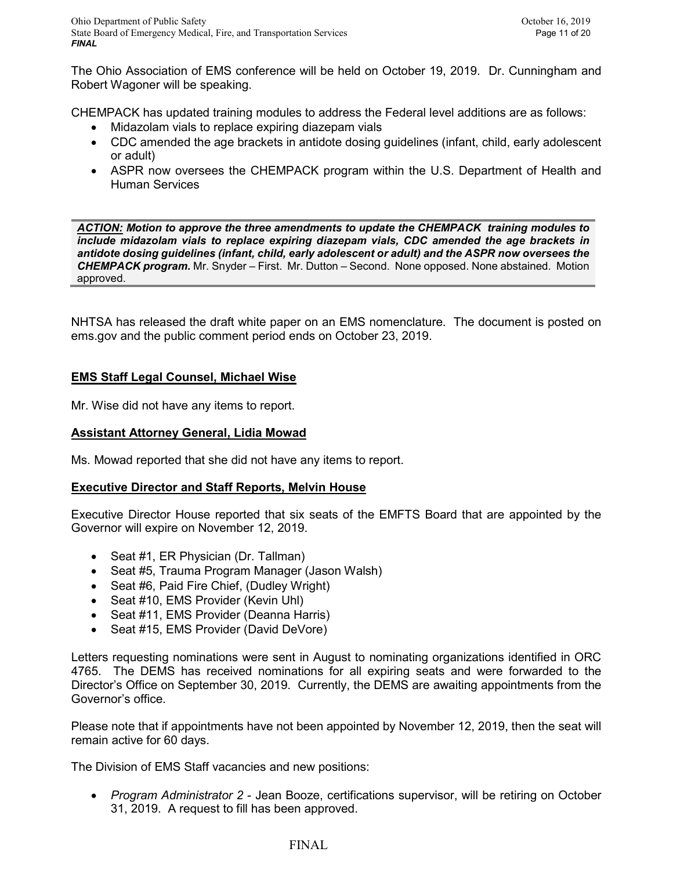The Ohio Association of EMS conference will be held on October 19, 2019. Dr. Cunningham and Robert Wagoner will be speaking.

CHEMPACK has updated training modules to address the Federal level additions are as follows:

- Midazolam vials to replace expiring diazepam vials
- CDC amended the age brackets in antidote dosing guidelines (infant, child, early adolescent or adult)
- ASPR now oversees the CHEMPACK program within the U.S. Department of Health and Human Services

*ACTION: Motion to approve the three amendments to update the CHEMPACK training modules to include midazolam vials to replace expiring diazepam vials, CDC amended the age brackets in antidote dosing guidelines (infant, child, early adolescent or adult) and the ASPR now oversees the CHEMPACK program.* Mr. Snyder – First. Mr. Dutton – Second. None opposed. None abstained. Motion approved.

NHTSA has released the draft white paper on an EMS nomenclature. The document is posted on ems.gov and the public comment period ends on October 23, 2019.

# **EMS Staff Legal Counsel, Michael Wise**

Mr. Wise did not have any items to report.

# **Assistant Attorney General, Lidia Mowad**

Ms. Mowad reported that she did not have any items to report.

# **Executive Director and Staff Reports, Melvin House**

Executive Director House reported that six seats of the EMFTS Board that are appointed by the Governor will expire on November 12, 2019.

- Seat #1, ER Physician (Dr. Tallman)
- Seat #5, Trauma Program Manager (Jason Walsh)
- Seat #6, Paid Fire Chief, (Dudley Wright)
- Seat #10, EMS Provider (Kevin Uhl)
- Seat #11, EMS Provider (Deanna Harris)
- Seat #15, EMS Provider (David DeVore)

Letters requesting nominations were sent in August to nominating organizations identified in ORC 4765. The DEMS has received nominations for all expiring seats and were forwarded to the Director's Office on September 30, 2019. Currently, the DEMS are awaiting appointments from the Governor's office.

Please note that if appointments have not been appointed by November 12, 2019, then the seat will remain active for 60 days.

The Division of EMS Staff vacancies and new positions:

• *Program Administrator 2* - Jean Booze, certifications supervisor, will be retiring on October 31, 2019. A request to fill has been approved.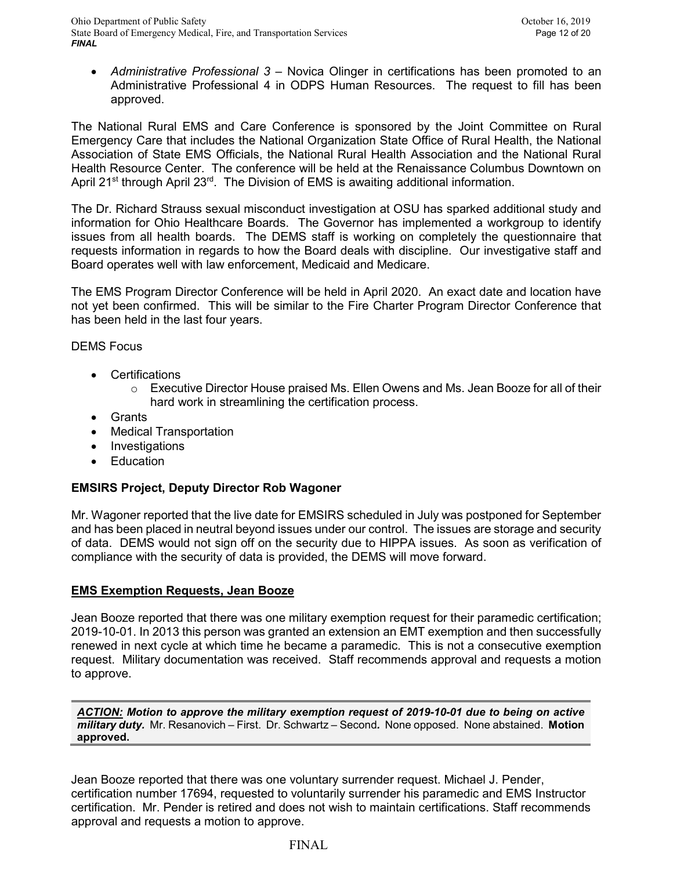• *Administrative Professional 3* – Novica Olinger in certifications has been promoted to an Administrative Professional 4 in ODPS Human Resources. The request to fill has been approved.

The National Rural EMS and Care Conference is sponsored by the Joint Committee on Rural Emergency Care that includes the National Organization State Office of Rural Health, the National Association of State EMS Officials, the National Rural Health Association and the National Rural Health Resource Center. The conference will be held at the Renaissance Columbus Downtown on April 21<sup>st</sup> through April 23<sup>rd</sup>. The Division of EMS is awaiting additional information.

The Dr. Richard Strauss sexual misconduct investigation at OSU has sparked additional study and information for Ohio Healthcare Boards. The Governor has implemented a workgroup to identify issues from all health boards. The DEMS staff is working on completely the questionnaire that requests information in regards to how the Board deals with discipline. Our investigative staff and Board operates well with law enforcement, Medicaid and Medicare.

The EMS Program Director Conference will be held in April 2020. An exact date and location have not yet been confirmed. This will be similar to the Fire Charter Program Director Conference that has been held in the last four years.

# DEMS Focus

- Certifications
	- $\circ$  Executive Director House praised Ms. Ellen Owens and Ms. Jean Booze for all of their hard work in streamlining the certification process.
- Grants
- Medical Transportation
- Investigations
- Education

# **EMSIRS Project, Deputy Director Rob Wagoner**

Mr. Wagoner reported that the live date for EMSIRS scheduled in July was postponed for September and has been placed in neutral beyond issues under our control. The issues are storage and security of data. DEMS would not sign off on the security due to HIPPA issues. As soon as verification of compliance with the security of data is provided, the DEMS will move forward.

## **EMS Exemption Requests, Jean Booze**

Jean Booze reported that there was one military exemption request for their paramedic certification; 2019-10-01. In 2013 this person was granted an extension an EMT exemption and then successfully renewed in next cycle at which time he became a paramedic. This is not a consecutive exemption request. Military documentation was received. Staff recommends approval and requests a motion to approve.

*ACTION: Motion to approve the military exemption request of 2019-10-01 due to being on active military duty.* Mr. Resanovich – First. Dr. Schwartz – Second*.* None opposed. None abstained. **Motion approved.**

Jean Booze reported that there was one voluntary surrender request. Michael J. Pender, certification number 17694, requested to voluntarily surrender his paramedic and EMS Instructor certification. Mr. Pender is retired and does not wish to maintain certifications. Staff recommends approval and requests a motion to approve.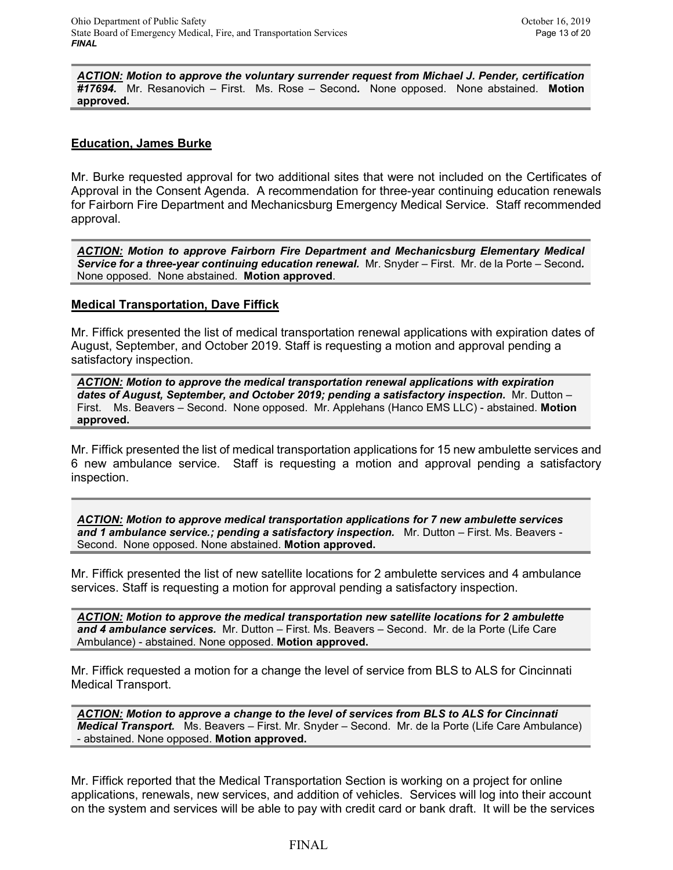*ACTION: Motion to approve the voluntary surrender request from Michael J. Pender, certification #17694.* Mr. Resanovich – First. Ms. Rose – Second*.* None opposed. None abstained. **Motion approved.**

## **Education, James Burke**

Mr. Burke requested approval for two additional sites that were not included on the Certificates of Approval in the Consent Agenda. A recommendation for three-year continuing education renewals for Fairborn Fire Department and Mechanicsburg Emergency Medical Service. Staff recommended approval.

*ACTION: Motion to approve Fairborn Fire Department and Mechanicsburg Elementary Medical Service for a three-year continuing education renewal.* Mr. Snyder – First. Mr. de la Porte – Second*.* None opposed. None abstained. **Motion approved**.

## **Medical Transportation, Dave Fiffick**

Mr. Fiffick presented the list of medical transportation renewal applications with expiration dates of August, September, and October 2019. Staff is requesting a motion and approval pending a satisfactory inspection.

*ACTION: Motion to approve the medical transportation renewal applications with expiration dates of August, September, and October 2019; pending a satisfactory inspection.* Mr. Dutton – First. Ms. Beavers – Second. None opposed. Mr. Applehans (Hanco EMS LLC) - abstained. **Motion approved.**

Mr. Fiffick presented the list of medical transportation applications for 15 new ambulette services and 6 new ambulance service. Staff is requesting a motion and approval pending a satisfactory inspection.

*ACTION: Motion to approve medical transportation applications for 7 new ambulette services and 1 ambulance service.; pending a satisfactory inspection.* Mr. Dutton – First. Ms. Beavers - Second. None opposed. None abstained. **Motion approved.**

Mr. Fiffick presented the list of new satellite locations for 2 ambulette services and 4 ambulance services. Staff is requesting a motion for approval pending a satisfactory inspection.

*ACTION: Motion to approve the medical transportation new satellite locations for 2 ambulette and 4 ambulance services.* Mr. Dutton – First. Ms. Beavers – Second. Mr. de la Porte (Life Care Ambulance) - abstained. None opposed. **Motion approved.**

Mr. Fiffick requested a motion for a change the level of service from BLS to ALS for Cincinnati Medical Transport.

*ACTION: Motion to approve a change to the level of services from BLS to ALS for Cincinnati Medical Transport.* Ms. Beavers – First. Mr. Snyder – Second. Mr. de la Porte (Life Care Ambulance) - abstained. None opposed. **Motion approved.**

Mr. Fiffick reported that the Medical Transportation Section is working on a project for online applications, renewals, new services, and addition of vehicles. Services will log into their account on the system and services will be able to pay with credit card or bank draft. It will be the services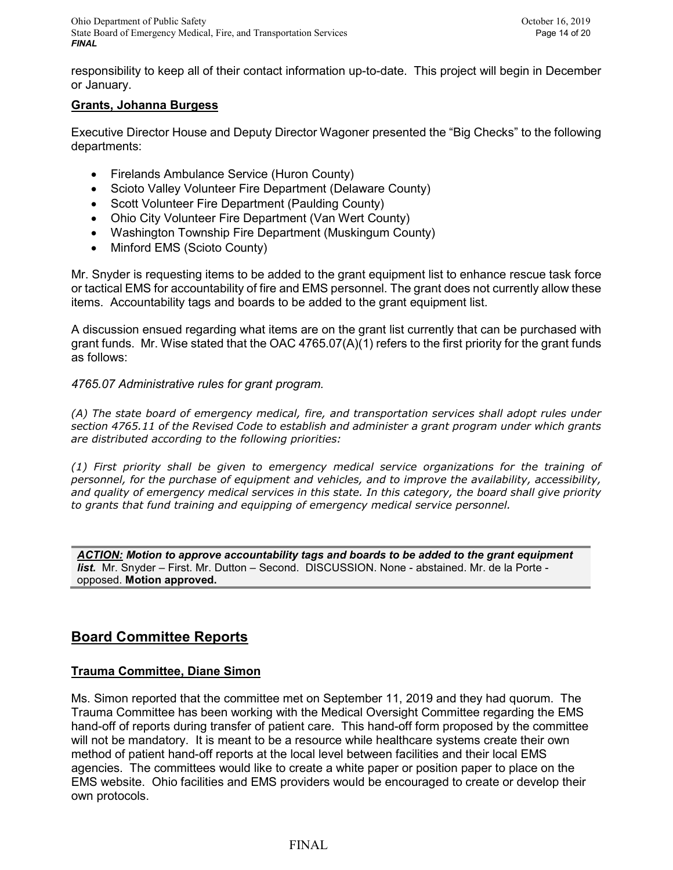responsibility to keep all of their contact information up-to-date. This project will begin in December or January.

# **Grants, Johanna Burgess**

Executive Director House and Deputy Director Wagoner presented the "Big Checks" to the following departments:

- Firelands Ambulance Service (Huron County)
- Scioto Valley Volunteer Fire Department (Delaware County)
- Scott Volunteer Fire Department (Paulding County)
- Ohio City Volunteer Fire Department (Van Wert County)
- Washington Township Fire Department (Muskingum County)
- Minford EMS (Scioto County)

Mr. Snyder is requesting items to be added to the grant equipment list to enhance rescue task force or tactical EMS for accountability of fire and EMS personnel. The grant does not currently allow these items. Accountability tags and boards to be added to the grant equipment list.

A discussion ensued regarding what items are on the grant list currently that can be purchased with grant funds. Mr. Wise stated that the OAC 4765.07(A)(1) refers to the first priority for the grant funds as follows:

*4765.07 Administrative rules for grant program.*

*(A) The state board of emergency medical, fire, and transportation services shall adopt rules under section 4765.11 of the Revised Code to establish and administer a grant program under which grants are distributed according to the following priorities:* 

*(1) First priority shall be given to emergency medical service organizations for the training of personnel, for the purchase of equipment and vehicles, and to improve the availability, accessibility, and quality of emergency medical services in this state. In this category, the board shall give priority to grants that fund training and equipping of emergency medical service personnel.*

*ACTION: Motion to approve accountability tags and boards to be added to the grant equipment list.* Mr. Snyder – First. Mr. Dutton – Second. DISCUSSION. None - abstained. Mr. de la Porte opposed. **Motion approved.**

# **Board Committee Reports**

# **Trauma Committee, Diane Simon**

Ms. Simon reported that the committee met on September 11, 2019 and they had quorum. The Trauma Committee has been working with the Medical Oversight Committee regarding the EMS hand-off of reports during transfer of patient care. This hand-off form proposed by the committee will not be mandatory. It is meant to be a resource while healthcare systems create their own method of patient hand-off reports at the local level between facilities and their local EMS agencies. The committees would like to create a white paper or position paper to place on the EMS website. Ohio facilities and EMS providers would be encouraged to create or develop their own protocols.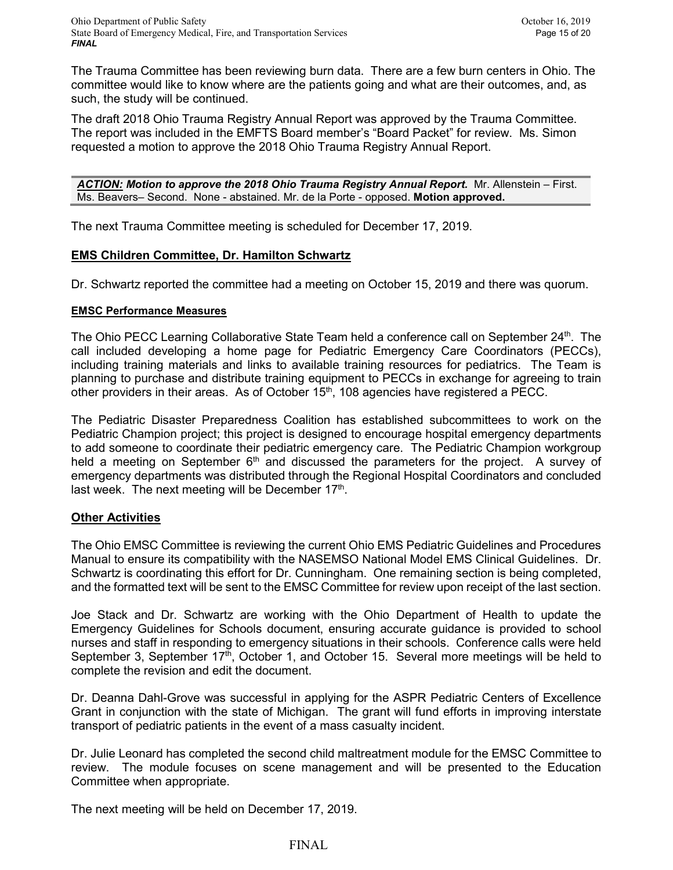The Trauma Committee has been reviewing burn data. There are a few burn centers in Ohio. The committee would like to know where are the patients going and what are their outcomes, and, as such, the study will be continued.

The draft 2018 Ohio Trauma Registry Annual Report was approved by the Trauma Committee. The report was included in the EMFTS Board member's "Board Packet" for review. Ms. Simon requested a motion to approve the 2018 Ohio Trauma Registry Annual Report.

*ACTION: Motion to approve the 2018 Ohio Trauma Registry Annual Report.* Mr. Allenstein – First. Ms. Beavers– Second. None - abstained. Mr. de la Porte - opposed. **Motion approved.**

The next Trauma Committee meeting is scheduled for December 17, 2019.

# **EMS Children Committee, Dr. Hamilton Schwartz**

Dr. Schwartz reported the committee had a meeting on October 15, 2019 and there was quorum.

# **EMSC Performance Measures**

The Ohio PECC Learning Collaborative State Team held a conference call on September 24<sup>th</sup>. The call included developing a home page for Pediatric Emergency Care Coordinators (PECCs), including training materials and links to available training resources for pediatrics. The Team is planning to purchase and distribute training equipment to PECCs in exchange for agreeing to train other providers in their areas. As of October 15<sup>th</sup>, 108 agencies have registered a PECC.

The Pediatric Disaster Preparedness Coalition has established subcommittees to work on the Pediatric Champion project; this project is designed to encourage hospital emergency departments to add someone to coordinate their pediatric emergency care. The Pediatric Champion workgroup held a meeting on September  $6<sup>th</sup>$  and discussed the parameters for the project. A survey of emergency departments was distributed through the Regional Hospital Coordinators and concluded last week. The next meeting will be December  $17<sup>th</sup>$ .

# **Other Activities**

The Ohio EMSC Committee is reviewing the current Ohio EMS Pediatric Guidelines and Procedures Manual to ensure its compatibility with the NASEMSO National Model EMS Clinical Guidelines. Dr. Schwartz is coordinating this effort for Dr. Cunningham. One remaining section is being completed, and the formatted text will be sent to the EMSC Committee for review upon receipt of the last section.

Joe Stack and Dr. Schwartz are working with the Ohio Department of Health to update the Emergency Guidelines for Schools document, ensuring accurate guidance is provided to school nurses and staff in responding to emergency situations in their schools. Conference calls were held September 3, September  $17<sup>th</sup>$ , October 1, and October 15. Several more meetings will be held to complete the revision and edit the document.

Dr. Deanna Dahl-Grove was successful in applying for the ASPR Pediatric Centers of Excellence Grant in conjunction with the state of Michigan. The grant will fund efforts in improving interstate transport of pediatric patients in the event of a mass casualty incident.

Dr. Julie Leonard has completed the second child maltreatment module for the EMSC Committee to review. The module focuses on scene management and will be presented to the Education Committee when appropriate.

The next meeting will be held on December 17, 2019.

## FINAL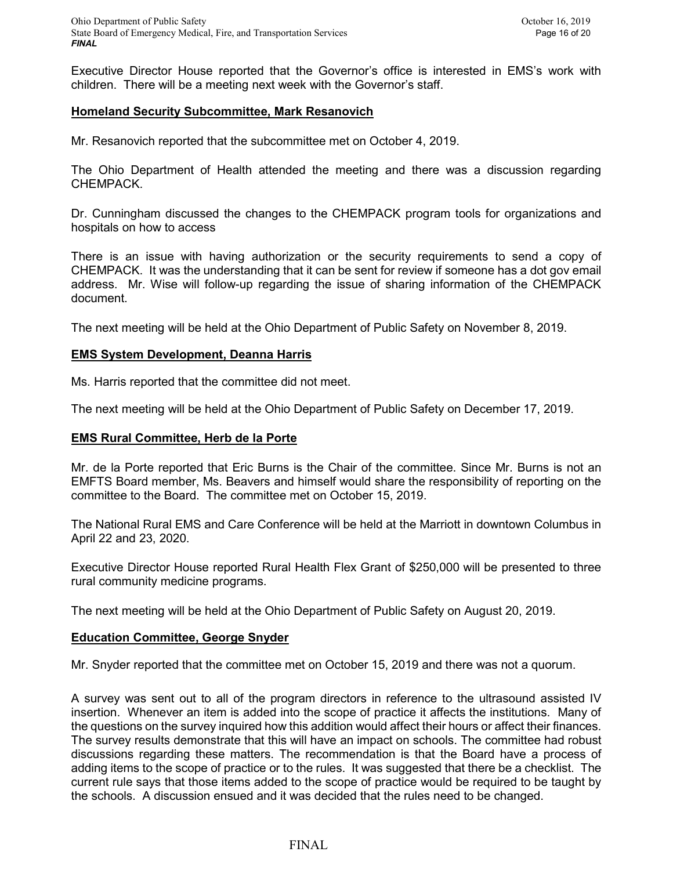Executive Director House reported that the Governor's office is interested in EMS's work with children. There will be a meeting next week with the Governor's staff.

# **Homeland Security Subcommittee, Mark Resanovich**

Mr. Resanovich reported that the subcommittee met on October 4, 2019.

The Ohio Department of Health attended the meeting and there was a discussion regarding CHEMPACK.

Dr. Cunningham discussed the changes to the CHEMPACK program tools for organizations and hospitals on how to access

There is an issue with having authorization or the security requirements to send a copy of CHEMPACK. It was the understanding that it can be sent for review if someone has a dot gov email address. Mr. Wise will follow-up regarding the issue of sharing information of the CHEMPACK document.

The next meeting will be held at the Ohio Department of Public Safety on November 8, 2019.

## **EMS System Development, Deanna Harris**

Ms. Harris reported that the committee did not meet.

The next meeting will be held at the Ohio Department of Public Safety on December 17, 2019.

## **EMS Rural Committee, Herb de la Porte**

Mr. de la Porte reported that Eric Burns is the Chair of the committee. Since Mr. Burns is not an EMFTS Board member, Ms. Beavers and himself would share the responsibility of reporting on the committee to the Board. The committee met on October 15, 2019.

The National Rural EMS and Care Conference will be held at the Marriott in downtown Columbus in April 22 and 23, 2020.

Executive Director House reported Rural Health Flex Grant of \$250,000 will be presented to three rural community medicine programs.

The next meeting will be held at the Ohio Department of Public Safety on August 20, 2019.

## **Education Committee, George Snyder**

Mr. Snyder reported that the committee met on October 15, 2019 and there was not a quorum.

A survey was sent out to all of the program directors in reference to the ultrasound assisted IV insertion. Whenever an item is added into the scope of practice it affects the institutions. Many of the questions on the survey inquired how this addition would affect their hours or affect their finances. The survey results demonstrate that this will have an impact on schools. The committee had robust discussions regarding these matters. The recommendation is that the Board have a process of adding items to the scope of practice or to the rules. It was suggested that there be a checklist. The current rule says that those items added to the scope of practice would be required to be taught by the schools. A discussion ensued and it was decided that the rules need to be changed.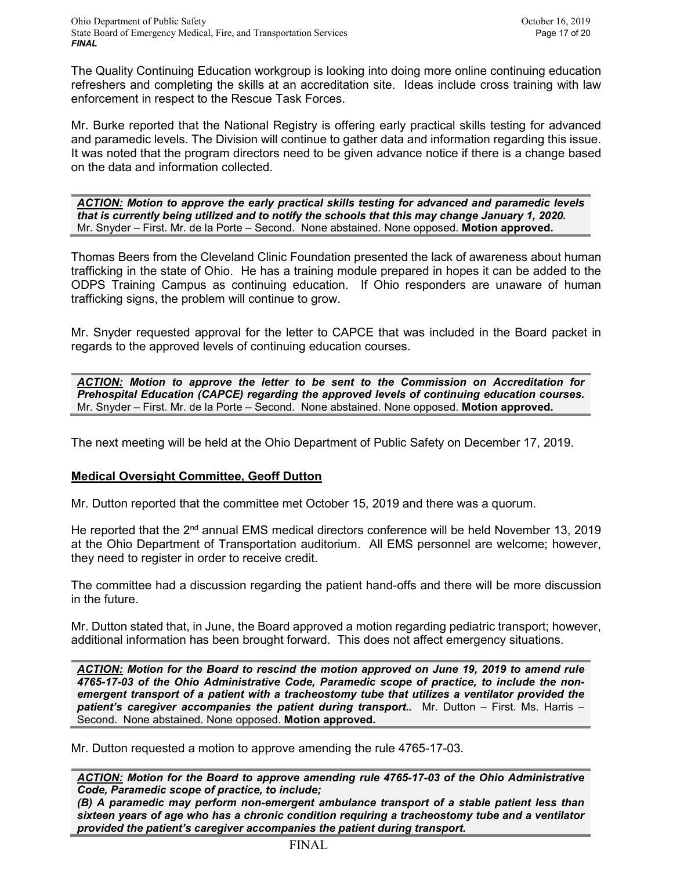The Quality Continuing Education workgroup is looking into doing more online continuing education refreshers and completing the skills at an accreditation site. Ideas include cross training with law enforcement in respect to the Rescue Task Forces.

Mr. Burke reported that the National Registry is offering early practical skills testing for advanced and paramedic levels. The Division will continue to gather data and information regarding this issue. It was noted that the program directors need to be given advance notice if there is a change based on the data and information collected.

*ACTION: Motion to approve the early practical skills testing for advanced and paramedic levels that is currently being utilized and to notify the schools that this may change January 1, 2020.*  Mr. Snyder – First. Mr. de la Porte – Second. None abstained. None opposed. **Motion approved.**

Thomas Beers from the Cleveland Clinic Foundation presented the lack of awareness about human trafficking in the state of Ohio. He has a training module prepared in hopes it can be added to the ODPS Training Campus as continuing education. If Ohio responders are unaware of human trafficking signs, the problem will continue to grow.

Mr. Snyder requested approval for the letter to CAPCE that was included in the Board packet in regards to the approved levels of continuing education courses.

*ACTION: Motion to approve the letter to be sent to the Commission on Accreditation for Prehospital Education (CAPCE) regarding the approved levels of continuing education courses.* Mr. Snyder – First. Mr. de la Porte – Second. None abstained. None opposed. **Motion approved.**

The next meeting will be held at the Ohio Department of Public Safety on December 17, 2019.

# **Medical Oversight Committee, Geoff Dutton**

Mr. Dutton reported that the committee met October 15, 2019 and there was a quorum.

He reported that the  $2<sup>nd</sup>$  annual EMS medical directors conference will be held November 13, 2019 at the Ohio Department of Transportation auditorium. All EMS personnel are welcome; however, they need to register in order to receive credit.

The committee had a discussion regarding the patient hand-offs and there will be more discussion in the future.

Mr. Dutton stated that, in June, the Board approved a motion regarding pediatric transport; however, additional information has been brought forward. This does not affect emergency situations.

*ACTION: Motion for the Board to rescind the motion approved on June 19, 2019 to amend rule 4765-17-03 of the Ohio Administrative Code, Paramedic scope of practice, to include the nonemergent transport of a patient with a tracheostomy tube that utilizes a ventilator provided the*  patient's caregiver accompanies the patient during transport.. Mr. Dutton - First. Ms. Harris -Second. None abstained. None opposed. **Motion approved.**

Mr. Dutton requested a motion to approve amending the rule 4765-17-03.

*ACTION: Motion for the Board to approve amending rule 4765-17-03 of the Ohio Administrative Code, Paramedic scope of practice, to include;*

*(B) A paramedic may perform non-emergent ambulance transport of a stable patient less than sixteen years of age who has a chronic condition requiring a tracheostomy tube and a ventilator provided the patient's caregiver accompanies the patient during transport.*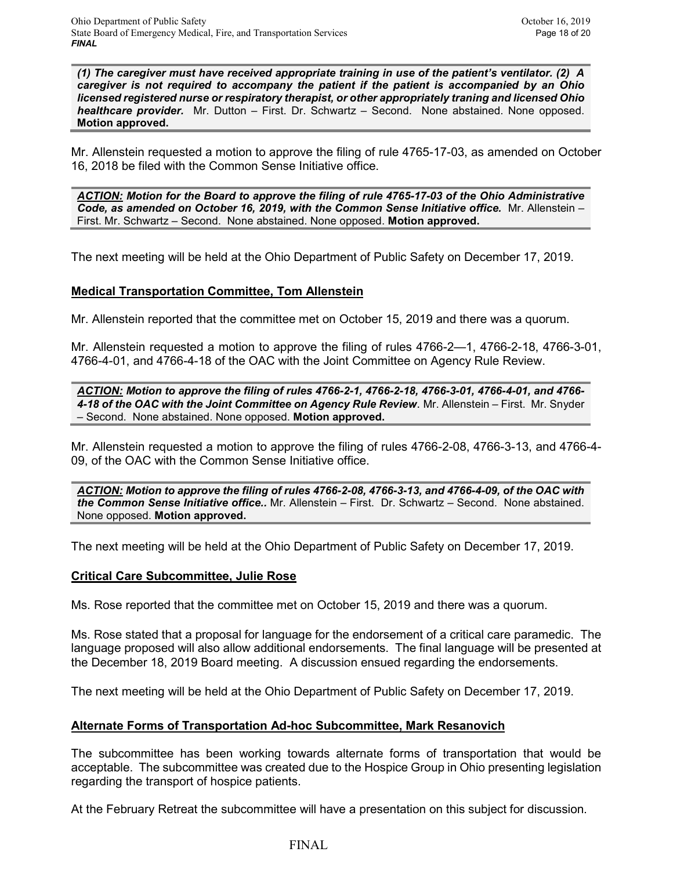*(1) The caregiver must have received appropriate training in use of the patient's ventilator. (2) A caregiver is not required to accompany the patient if the patient is accompanied by an Ohio licensed registered nurse or respiratory therapist, or other appropriately traning and licensed Ohio healthcare provider.* Mr. Dutton – First. Dr. Schwartz – Second. None abstained. None opposed. **Motion approved.**

Mr. Allenstein requested a motion to approve the filing of rule 4765-17-03, as amended on October 16, 2018 be filed with the Common Sense Initiative office.

*ACTION: Motion for the Board to approve the filing of rule 4765-17-03 of the Ohio Administrative Code, as amended on October 16, 2019, with the Common Sense Initiative office.* Mr. Allenstein – First. Mr. Schwartz – Second. None abstained. None opposed. **Motion approved.**

The next meeting will be held at the Ohio Department of Public Safety on December 17, 2019.

## **Medical Transportation Committee, Tom Allenstein**

Mr. Allenstein reported that the committee met on October 15, 2019 and there was a quorum.

Mr. Allenstein requested a motion to approve the filing of rules 4766-2—1, 4766-2-18, 4766-3-01, 4766-4-01, and 4766-4-18 of the OAC with the Joint Committee on Agency Rule Review.

*ACTION: Motion to approve the filing of rules 4766-2-1, 4766-2-18, 4766-3-01, 4766-4-01, and 4766- 4-18 of the OAC with the Joint Committee on Agency Rule Review*. Mr. Allenstein – First. Mr. Snyder – Second. None abstained. None opposed. **Motion approved.**

Mr. Allenstein requested a motion to approve the filing of rules 4766-2-08, 4766-3-13, and 4766-4- 09, of the OAC with the Common Sense Initiative office.

*ACTION: Motion to approve the filing of rules 4766-2-08, 4766-3-13, and 4766-4-09, of the OAC with the Common Sense Initiative office..* Mr. Allenstein – First. Dr. Schwartz – Second. None abstained. None opposed. **Motion approved.**

The next meeting will be held at the Ohio Department of Public Safety on December 17, 2019.

## **Critical Care Subcommittee, Julie Rose**

Ms. Rose reported that the committee met on October 15, 2019 and there was a quorum.

Ms. Rose stated that a proposal for language for the endorsement of a critical care paramedic. The language proposed will also allow additional endorsements. The final language will be presented at the December 18, 2019 Board meeting. A discussion ensued regarding the endorsements.

The next meeting will be held at the Ohio Department of Public Safety on December 17, 2019.

## **Alternate Forms of Transportation Ad-hoc Subcommittee, Mark Resanovich**

The subcommittee has been working towards alternate forms of transportation that would be acceptable. The subcommittee was created due to the Hospice Group in Ohio presenting legislation regarding the transport of hospice patients.

At the February Retreat the subcommittee will have a presentation on this subject for discussion.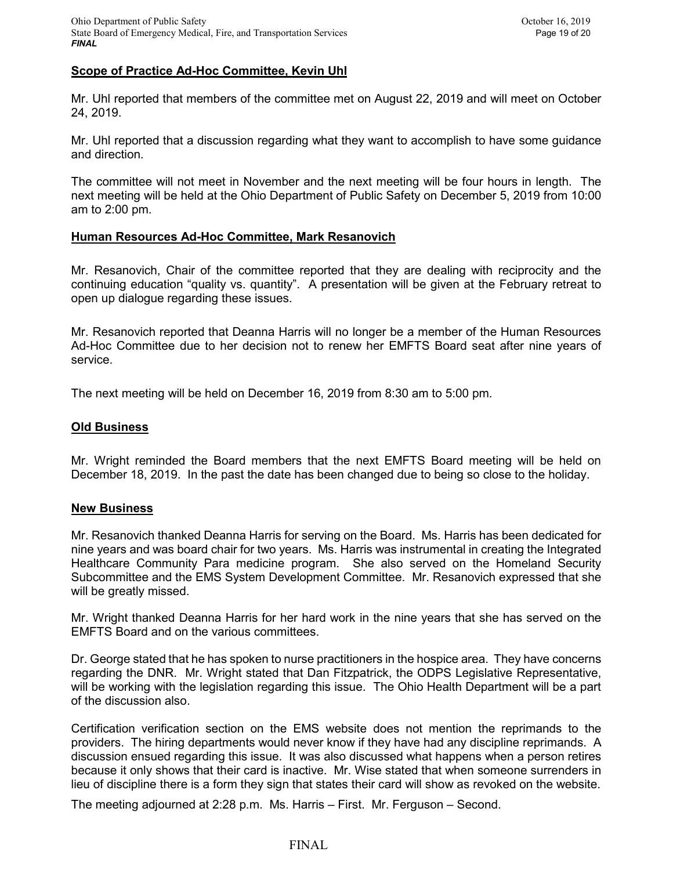# **Scope of Practice Ad-Hoc Committee, Kevin Uhl**

Mr. Uhl reported that members of the committee met on August 22, 2019 and will meet on October 24, 2019.

Mr. Uhl reported that a discussion regarding what they want to accomplish to have some guidance and direction.

The committee will not meet in November and the next meeting will be four hours in length. The next meeting will be held at the Ohio Department of Public Safety on December 5, 2019 from 10:00 am to 2:00 pm.

## **Human Resources Ad-Hoc Committee, Mark Resanovich**

Mr. Resanovich, Chair of the committee reported that they are dealing with reciprocity and the continuing education "quality vs. quantity". A presentation will be given at the February retreat to open up dialogue regarding these issues.

Mr. Resanovich reported that Deanna Harris will no longer be a member of the Human Resources Ad-Hoc Committee due to her decision not to renew her EMFTS Board seat after nine years of service.

The next meeting will be held on December 16, 2019 from 8:30 am to 5:00 pm.

#### **Old Business**

Mr. Wright reminded the Board members that the next EMFTS Board meeting will be held on December 18, 2019. In the past the date has been changed due to being so close to the holiday.

#### **New Business**

Mr. Resanovich thanked Deanna Harris for serving on the Board. Ms. Harris has been dedicated for nine years and was board chair for two years. Ms. Harris was instrumental in creating the Integrated Healthcare Community Para medicine program. She also served on the Homeland Security Subcommittee and the EMS System Development Committee. Mr. Resanovich expressed that she will be greatly missed.

Mr. Wright thanked Deanna Harris for her hard work in the nine years that she has served on the EMFTS Board and on the various committees.

Dr. George stated that he has spoken to nurse practitioners in the hospice area. They have concerns regarding the DNR. Mr. Wright stated that Dan Fitzpatrick, the ODPS Legislative Representative, will be working with the legislation regarding this issue. The Ohio Health Department will be a part of the discussion also.

Certification verification section on the EMS website does not mention the reprimands to the providers. The hiring departments would never know if they have had any discipline reprimands. A discussion ensued regarding this issue. It was also discussed what happens when a person retires because it only shows that their card is inactive. Mr. Wise stated that when someone surrenders in lieu of discipline there is a form they sign that states their card will show as revoked on the website.

The meeting adjourned at 2:28 p.m. Ms. Harris – First. Mr. Ferguson – Second.

## FINAL